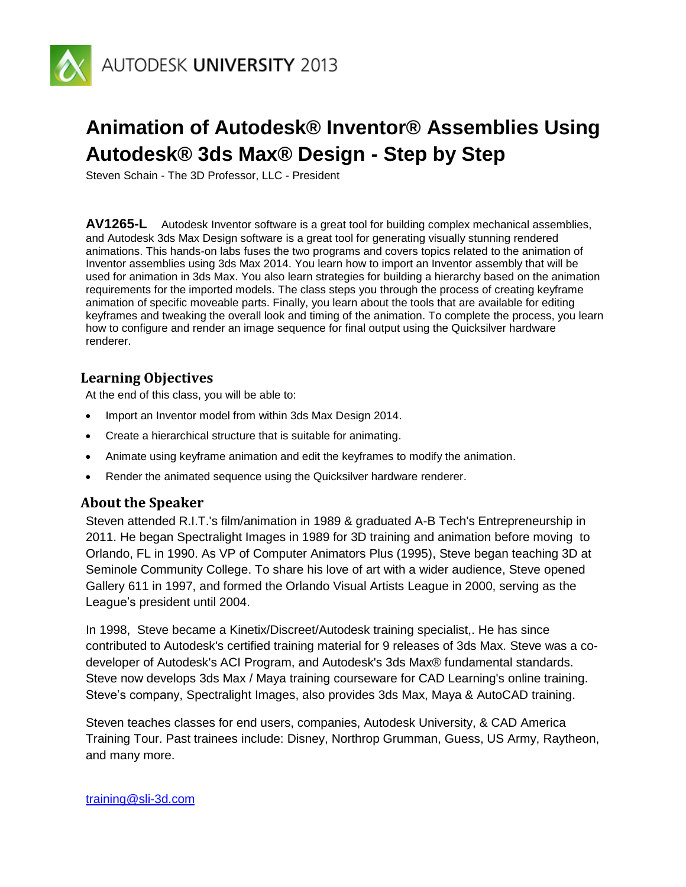

# **Animation of Autodesk® Inventor® Assemblies Using Autodesk® 3ds Max® Design - Step by Step**

Steven Schain - The 3D Professor, LLC - President

**AV1265-L** Autodesk Inventor software is a great tool for building complex mechanical assemblies, and Autodesk 3ds Max Design software is a great tool for generating visually stunning rendered animations. This hands-on labs fuses the two programs and covers topics related to the animation of Inventor assemblies using 3ds Max 2014. You learn how to import an Inventor assembly that will be used for animation in 3ds Max. You also learn strategies for building a hierarchy based on the animation requirements for the imported models. The class steps you through the process of creating keyframe animation of specific moveable parts. Finally, you learn about the tools that are available for editing keyframes and tweaking the overall look and timing of the animation. To complete the process, you learn how to configure and render an image sequence for final output using the Quicksilver hardware renderer.

# **Learning Objectives**

At the end of this class, you will be able to:

- Import an Inventor model from within 3ds Max Design 2014.
- Create a hierarchical structure that is suitable for animating.
- Animate using keyframe animation and edit the keyframes to modify the animation.
- Render the animated sequence using the Quicksilver hardware renderer.

### **About the Speaker**

Steven attended R.I.T.'s film/animation in 1989 & graduated A-B Tech's Entrepreneurship in 2011. He began Spectralight Images in 1989 for 3D training and animation before moving to Orlando, FL in 1990. As VP of Computer Animators Plus (1995), Steve began teaching 3D at Seminole Community College. To share his love of art with a wider audience, Steve opened Gallery 611 in 1997, and formed the Orlando Visual Artists League in 2000, serving as the League's president until 2004.

In 1998, Steve became a Kinetix/Discreet/Autodesk training specialist,. He has since contributed to Autodesk's certified training material for 9 releases of 3ds Max. Steve was a codeveloper of Autodesk's ACI Program, and Autodesk's 3ds Max® fundamental standards. Steve now develops 3ds Max / Maya training courseware for CAD Learning's online training. Steve's company, Spectralight Images, also provides 3ds Max, Maya & AutoCAD training.

Steven teaches classes for end users, companies, Autodesk University, & CAD America Training Tour. Past trainees include: Disney, Northrop Grumman, Guess, US Army, Raytheon, and many more.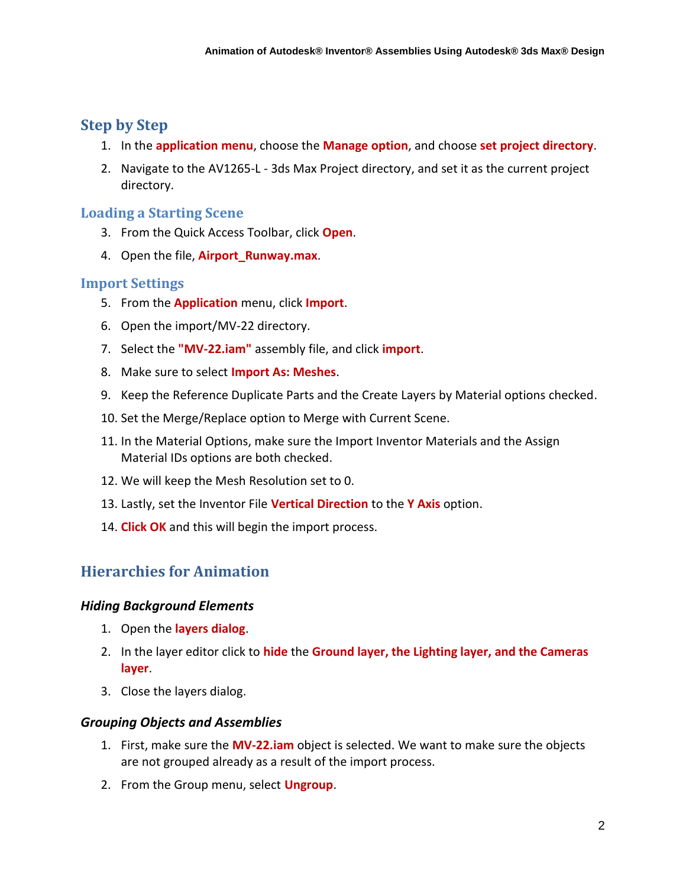# **Step by Step**

- 1. In the **application menu**, choose the **Manage option**, and choose **set project directory**.
- 2. Navigate to the AV1265-L 3ds Max Project directory, and set it as the current project directory.

# **Loading a Starting Scene**

- 3. From the Quick Access Toolbar, click **Open**.
- 4. Open the file, **Airport\_Runway.max**.

### **Import Settings**

- 5. From the **Application** menu, click **Import**.
- 6. Open the import/MV-22 directory.
- 7. Select the **"MV-22.iam"** assembly file, and click **import**.
- 8. Make sure to select **Import As: Meshes**.
- 9. Keep the Reference Duplicate Parts and the Create Layers by Material options checked.
- 10. Set the Merge/Replace option to Merge with Current Scene.
- 11. In the Material Options, make sure the Import Inventor Materials and the Assign Material IDs options are both checked.
- 12. We will keep the Mesh Resolution set to 0.
- 13. Lastly, set the Inventor File **Vertical Direction** to the **Y Axis** option.
- 14. **Click OK** and this will begin the import process.

# **Hierarchies for Animation**

### *Hiding Background Elements*

- 1. Open the **layers dialog**.
- 2. In the layer editor click to **hide** the **Ground layer, the Lighting layer, and the Cameras layer**.
- 3. Close the layers dialog.

### *Grouping Objects and Assemblies*

- 1. First, make sure the **MV-22.iam** object is selected. We want to make sure the objects are not grouped already as a result of the import process.
- 2. From the Group menu, select **Ungroup**.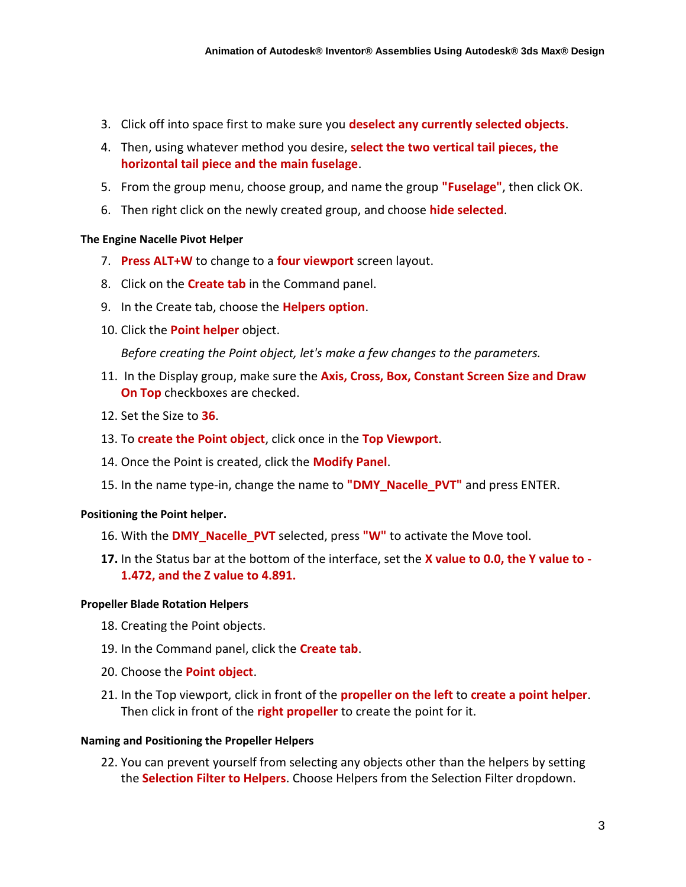- 3. Click off into space first to make sure you **deselect any currently selected objects**.
- 4. Then, using whatever method you desire, **select the two vertical tail pieces, the horizontal tail piece and the main fuselage**.
- 5. From the group menu, choose group, and name the group **"Fuselage"**, then click OK.
- 6. Then right click on the newly created group, and choose **hide selected**.

#### **The Engine Nacelle Pivot Helper**

- 7. **Press ALT+W** to change to a **four viewport** screen layout.
- 8. Click on the **Create tab** in the Command panel.
- 9. In the Create tab, choose the **Helpers option**.
- 10. Click the **Point helper** object.

*Before creating the Point object, let's make a few changes to the parameters.*

- 11. In the Display group, make sure the **Axis, Cross, Box, Constant Screen Size and Draw On Top** checkboxes are checked.
- 12. Set the Size to **36**.
- 13. To **create the Point object**, click once in the **Top Viewport**.
- 14. Once the Point is created, click the **Modify Panel**.
- 15. In the name type-in, change the name to **"DMY\_Nacelle\_PVT"** and press ENTER.

### **Positioning the Point helper.**

- 16. With the **DMY\_Nacelle\_PVT** selected, press **"W"** to activate the Move tool.
- **17.** In the Status bar at the bottom of the interface, set the **X value to 0.0, the Y value to - 1.472, and the Z value to 4.891.**

### **Propeller Blade Rotation Helpers**

- 18. Creating the Point objects.
- 19. In the Command panel, click the **Create tab**.
- 20. Choose the **Point object**.
- 21. In the Top viewport, click in front of the **propeller on the left** to **create a point helper**. Then click in front of the **right propeller** to create the point for it.

### **Naming and Positioning the Propeller Helpers**

22. You can prevent yourself from selecting any objects other than the helpers by setting the **Selection Filter to Helpers**. Choose Helpers from the Selection Filter dropdown.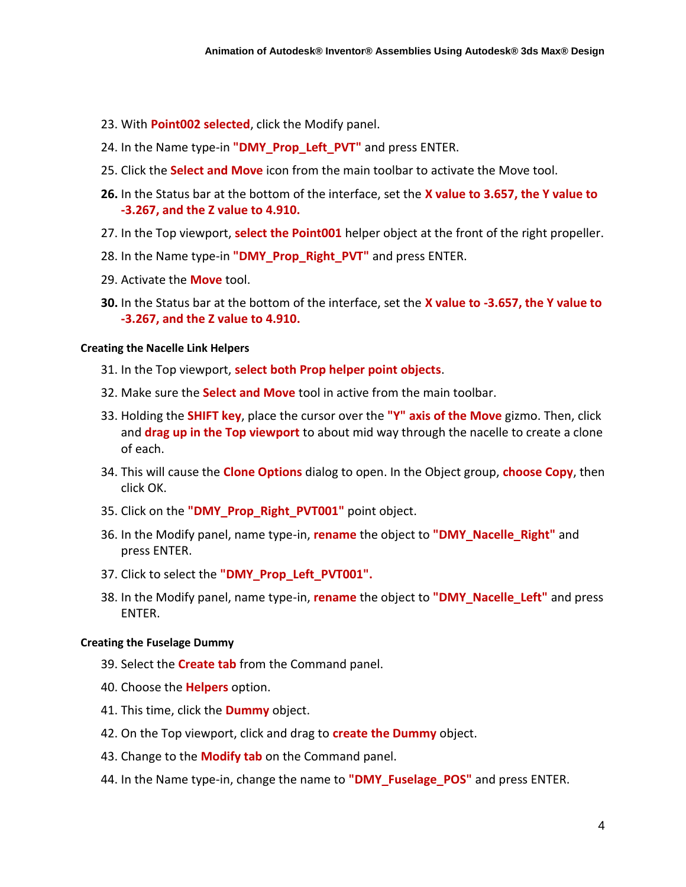- 23. With **Point002 selected**, click the Modify panel.
- 24. In the Name type-in **"DMY\_Prop\_Left\_PVT"** and press ENTER.
- 25. Click the **Select and Move** icon from the main toolbar to activate the Move tool.
- **26.** In the Status bar at the bottom of the interface, set the **X value to 3.657, the Y value to -3.267, and the Z value to 4.910.**
- 27. In the Top viewport, **select the Point001** helper object at the front of the right propeller.
- 28. In the Name type-in **"DMY\_Prop\_Right\_PVT"** and press ENTER.
- 29. Activate the **Move** tool.
- **30.** In the Status bar at the bottom of the interface, set the **X value to -3.657, the Y value to -3.267, and the Z value to 4.910.**

#### **Creating the Nacelle Link Helpers**

- 31. In the Top viewport, **select both Prop helper point objects**.
- 32. Make sure the **Select and Move** tool in active from the main toolbar.
- 33. Holding the **SHIFT key**, place the cursor over the **"Y" axis of the Move** gizmo. Then, click and **drag up in the Top viewport** to about mid way through the nacelle to create a clone of each.
- 34. This will cause the **Clone Options** dialog to open. In the Object group, **choose Copy**, then click OK.
- 35. Click on the **"DMY\_Prop\_Right\_PVT001"** point object.
- 36. In the Modify panel, name type-in, **rename** the object to **"DMY\_Nacelle\_Right"** and press ENTER.
- 37. Click to select the **"DMY\_Prop\_Left\_PVT001".**
- 38. In the Modify panel, name type-in, **rename** the object to **"DMY\_Nacelle\_Left"** and press ENTER.

#### **Creating the Fuselage Dummy**

- 39. Select the **Create tab** from the Command panel.
- 40. Choose the **Helpers** option.
- 41. This time, click the **Dummy** object.
- 42. On the Top viewport, click and drag to **create the Dummy** object.
- 43. Change to the **Modify tab** on the Command panel.
- 44. In the Name type-in, change the name to **"DMY\_Fuselage\_POS"** and press ENTER.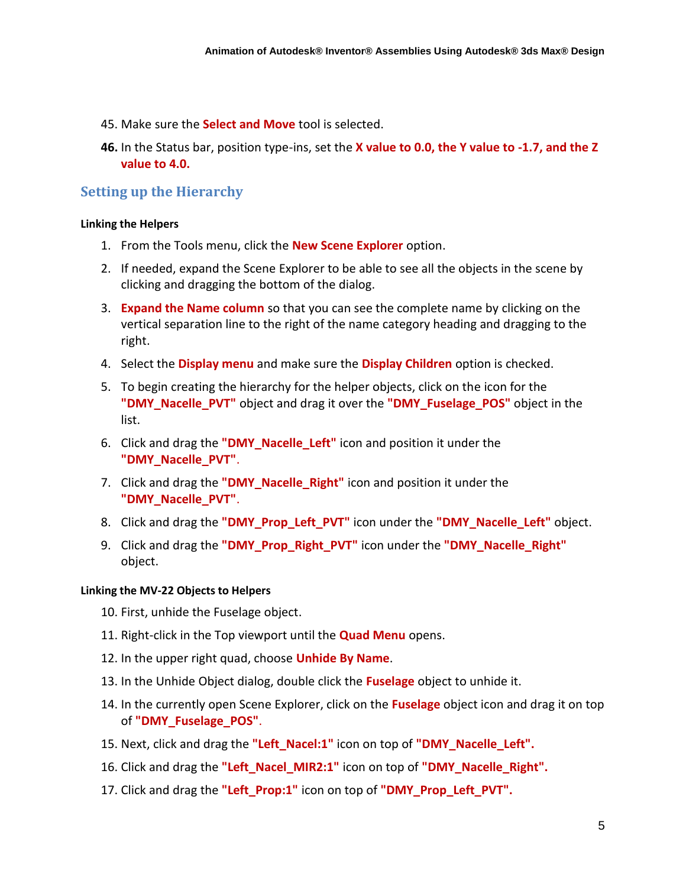- 45. Make sure the **Select and Move** tool is selected.
- **46.** In the Status bar, position type-ins, set the **X value to 0.0, the Y value to -1.7, and the Z value to 4.0.**

### **Setting up the Hierarchy**

#### **Linking the Helpers**

- 1. From the Tools menu, click the **New Scene Explorer** option.
- 2. If needed, expand the Scene Explorer to be able to see all the objects in the scene by clicking and dragging the bottom of the dialog.
- 3. **Expand the Name column** so that you can see the complete name by clicking on the vertical separation line to the right of the name category heading and dragging to the right.
- 4. Select the **Display menu** and make sure the **Display Children** option is checked.
- 5. To begin creating the hierarchy for the helper objects, click on the icon for the **"DMY\_Nacelle\_PVT"** object and drag it over the **"DMY\_Fuselage\_POS"** object in the list.
- 6. Click and drag the **"DMY\_Nacelle\_Left"** icon and position it under the **"DMY\_Nacelle\_PVT"**.
- 7. Click and drag the **"DMY\_Nacelle\_Right"** icon and position it under the **"DMY\_Nacelle\_PVT"**.
- 8. Click and drag the **"DMY\_Prop\_Left\_PVT"** icon under the **"DMY\_Nacelle\_Left"** object.
- 9. Click and drag the **"DMY\_Prop\_Right\_PVT"** icon under the **"DMY\_Nacelle\_Right"** object.

#### **Linking the MV-22 Objects to Helpers**

- 10. First, unhide the Fuselage object.
- 11. Right-click in the Top viewport until the **Quad Menu** opens.
- 12. In the upper right quad, choose **Unhide By Name**.
- 13. In the Unhide Object dialog, double click the **Fuselage** object to unhide it.
- 14. In the currently open Scene Explorer, click on the **Fuselage** object icon and drag it on top of **"DMY\_Fuselage\_POS"**.
- 15. Next, click and drag the **"Left\_Nacel:1"** icon on top of **"DMY\_Nacelle\_Left".**
- 16. Click and drag the **"Left\_Nacel\_MIR2:1"** icon on top of **"DMY\_Nacelle\_Right".**
- 17. Click and drag the **"Left\_Prop:1"** icon on top of **"DMY\_Prop\_Left\_PVT".**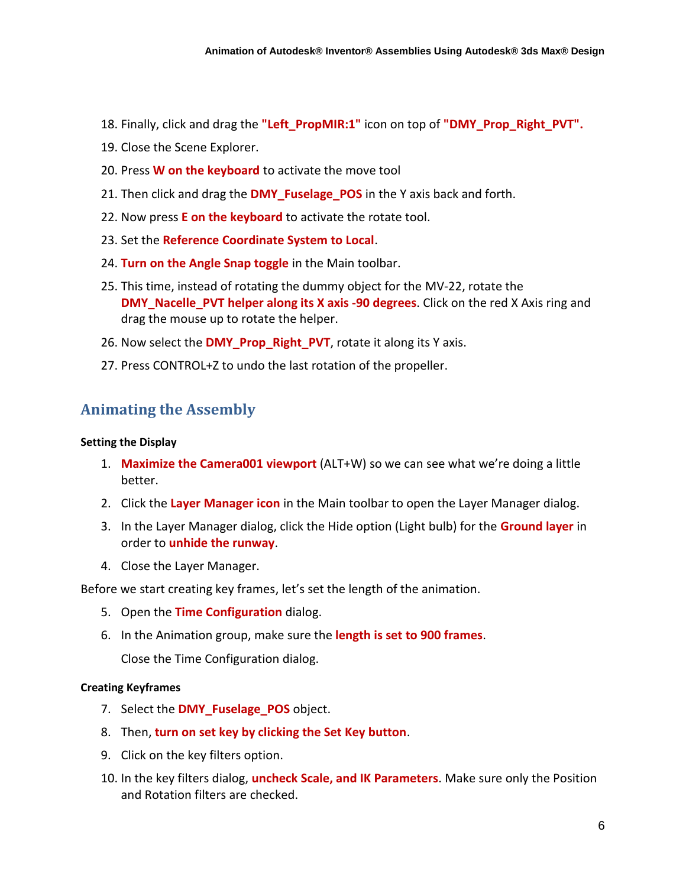- 18. Finally, click and drag the **"Left\_PropMIR:1"** icon on top of **"DMY\_Prop\_Right\_PVT".**
- 19. Close the Scene Explorer.
- 20. Press **W on the keyboard** to activate the move tool
- 21. Then click and drag the **DMY\_Fuselage\_POS** in the Y axis back and forth.
- 22. Now press **E on the keyboard** to activate the rotate tool.
- 23. Set the **Reference Coordinate System to Local**.
- 24. **Turn on the Angle Snap toggle** in the Main toolbar.
- 25. This time, instead of rotating the dummy object for the MV-22, rotate the **DMY\_Nacelle\_PVT helper along its X axis -90 degrees**. Click on the red X Axis ring and drag the mouse up to rotate the helper.
- 26. Now select the **DMY\_Prop\_Right\_PVT**, rotate it along its Y axis.
- 27. Press CONTROL+Z to undo the last rotation of the propeller.

# **Animating the Assembly**

#### **Setting the Display**

- 1. **Maximize the Camera001 viewport** (ALT+W) so we can see what we're doing a little better.
- 2. Click the **Layer Manager icon** in the Main toolbar to open the Layer Manager dialog.
- 3. In the Layer Manager dialog, click the Hide option (Light bulb) for the **Ground layer** in order to **unhide the runway**.
- 4. Close the Layer Manager.

Before we start creating key frames, let's set the length of the animation.

- 5. Open the **Time Configuration** dialog.
- 6. In the Animation group, make sure the **length is set to 900 frames**.

Close the Time Configuration dialog.

### **Creating Keyframes**

- 7. Select the **DMY\_Fuselage\_POS** object.
- 8. Then, **turn on set key by clicking the Set Key button**.
- 9. Click on the key filters option.
- 10. In the key filters dialog, **uncheck Scale, and IK Parameters**. Make sure only the Position and Rotation filters are checked.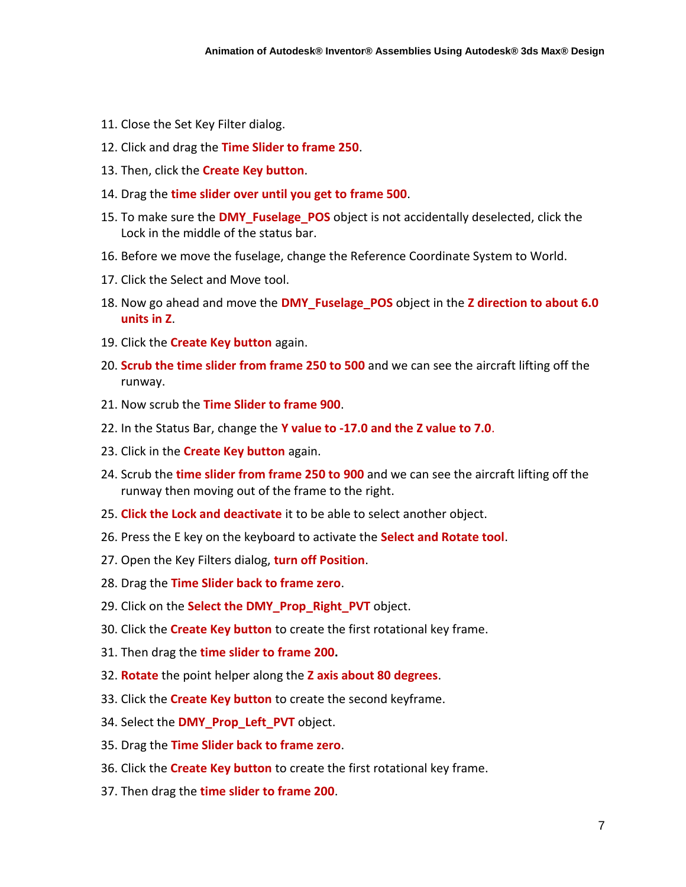- 11. Close the Set Key Filter dialog.
- 12. Click and drag the **Time Slider to frame 250**.
- 13. Then, click the **Create Key button**.
- 14. Drag the **time slider over until you get to frame 500**.
- 15. To make sure the **DMY\_Fuselage\_POS** object is not accidentally deselected, click the Lock in the middle of the status bar.
- 16. Before we move the fuselage, change the Reference Coordinate System to World.
- 17. Click the Select and Move tool.
- 18. Now go ahead and move the **DMY\_Fuselage\_POS** object in the **Z direction to about 6.0 units in Z**.
- 19. Click the **Create Key button** again.
- 20. **Scrub the time slider from frame 250 to 500** and we can see the aircraft lifting off the runway.
- 21. Now scrub the **Time Slider to frame 900**.
- 22. In the Status Bar, change the **Y value to -17.0 and the Z value to 7.0**.
- 23. Click in the **Create Key button** again.
- 24. Scrub the **time slider from frame 250 to 900** and we can see the aircraft lifting off the runway then moving out of the frame to the right.
- 25. **Click the Lock and deactivate** it to be able to select another object.
- 26. Press the E key on the keyboard to activate the **Select and Rotate tool**.
- 27. Open the Key Filters dialog, **turn off Position**.
- 28. Drag the **Time Slider back to frame zero**.
- 29. Click on the **Select the DMY\_Prop\_Right\_PVT** object.
- 30. Click the **Create Key button** to create the first rotational key frame.
- 31. Then drag the **time slider to frame 200.**
- 32. **Rotate** the point helper along the **Z axis about 80 degrees**.
- 33. Click the **Create Key button** to create the second keyframe.
- 34. Select the **DMY\_Prop\_Left\_PVT** object.
- 35. Drag the **Time Slider back to frame zero**.
- 36. Click the **Create Key button** to create the first rotational key frame.
- 37. Then drag the **time slider to frame 200**.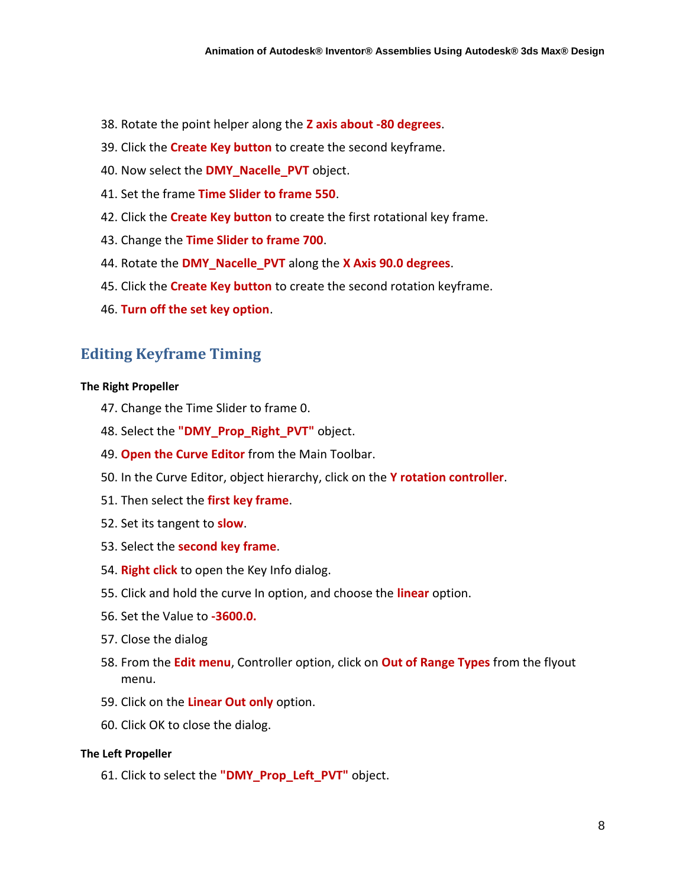- 38. Rotate the point helper along the **Z axis about -80 degrees**.
- 39. Click the **Create Key button** to create the second keyframe.
- 40. Now select the **DMY\_Nacelle\_PVT** object.
- 41. Set the frame **Time Slider to frame 550**.
- 42. Click the **Create Key button** to create the first rotational key frame.
- 43. Change the **Time Slider to frame 700**.
- 44. Rotate the **DMY\_Nacelle\_PVT** along the **X Axis 90.0 degrees**.
- 45. Click the **Create Key button** to create the second rotation keyframe.
- 46. **Turn off the set key option**.

# **Editing Keyframe Timing**

#### **The Right Propeller**

- 47. Change the Time Slider to frame 0.
- 48. Select the **"DMY\_Prop\_Right\_PVT"** object.
- 49. **Open the Curve Editor** from the Main Toolbar.
- 50. In the Curve Editor, object hierarchy, click on the **Y rotation controller**.
- 51. Then select the **first key frame**.
- 52. Set its tangent to **slow**.
- 53. Select the **second key frame**.
- 54. **Right click** to open the Key Info dialog.
- 55. Click and hold the curve In option, and choose the **linear** option.
- 56. Set the Value to **-3600.0.**
- 57. Close the dialog
- 58. From the **Edit menu**, Controller option, click on **Out of Range Types** from the flyout menu.
- 59. Click on the **Linear Out only** option.
- 60. Click OK to close the dialog.

#### **The Left Propeller**

61. Click to select the **"DMY\_Prop\_Left\_PVT"** object.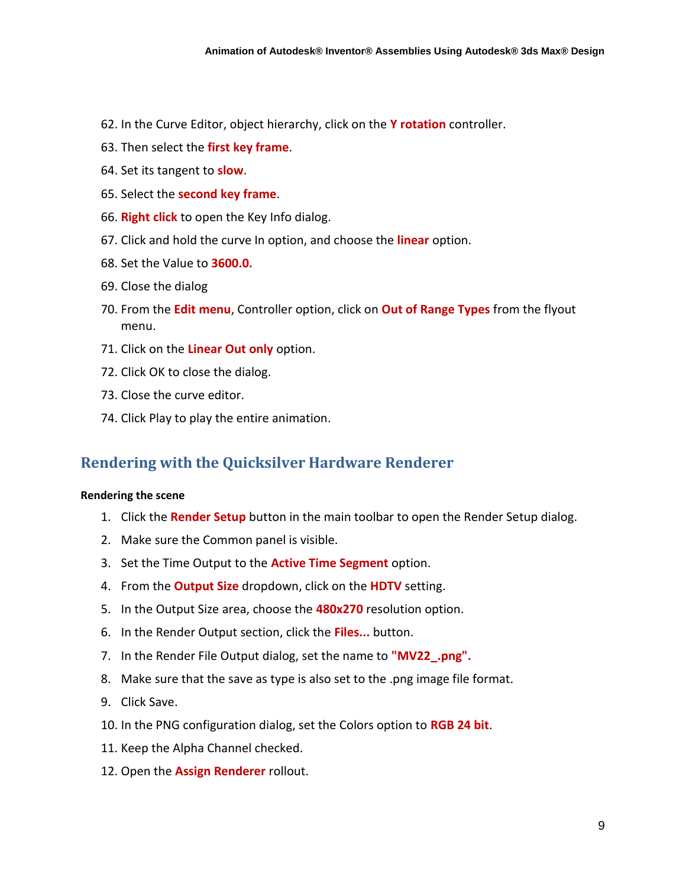- 62. In the Curve Editor, object hierarchy, click on the **Y rotation** controller.
- 63. Then select the **first key frame**.
- 64. Set its tangent to **slow**.
- 65. Select the **second key frame**.
- 66. **Right click** to open the Key Info dialog.
- 67. Click and hold the curve In option, and choose the **linear** option.
- 68. Set the Value to **3600.0.**
- 69. Close the dialog
- 70. From the **Edit menu**, Controller option, click on **Out of Range Types** from the flyout menu.
- 71. Click on the **Linear Out only** option.
- 72. Click OK to close the dialog.
- 73. Close the curve editor.
- 74. Click Play to play the entire animation.

# **Rendering with the Quicksilver Hardware Renderer**

#### **Rendering the scene**

- 1. Click the **Render Setup** button in the main toolbar to open the Render Setup dialog.
- 2. Make sure the Common panel is visible.
- 3. Set the Time Output to the **Active Time Segment** option.
- 4. From the **Output Size** dropdown, click on the **HDTV** setting.
- 5. In the Output Size area, choose the **480x270** resolution option.
- 6. In the Render Output section, click the **Files...** button.
- 7. In the Render File Output dialog, set the name to **"MV22\_.png".**
- 8. Make sure that the save as type is also set to the .png image file format.
- 9. Click Save.
- 10. In the PNG configuration dialog, set the Colors option to **RGB 24 bit**.
- 11. Keep the Alpha Channel checked.
- 12. Open the **Assign Renderer** rollout.